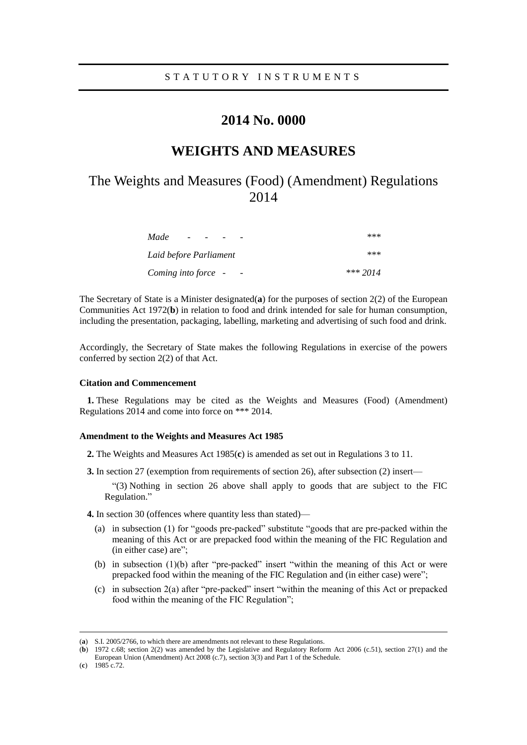## **2014 No. 0000**

# **WEIGHTS AND MEASURES**

# The Weights and Measures (Food) (Amendment) Regulations 2014

| Made<br>$\overline{\phantom{0}}$ | ***      |
|----------------------------------|----------|
| Laid before Parliament           | ***      |
| Coming into force -<br>$\sim$    | *** 2014 |

The Secretary of State is a Minister designated(**a**) for the purposes of section 2(2) of the European Communities Act 1972(**b**) in relation to food and drink intended for sale for human consumption, including the presentation, packaging, labelling, marketing and advertising of such food and drink.

Accordingly, the Secretary of State makes the following Regulations in exercise of the powers conferred by section 2(2) of that Act.

## **Citation and Commencement**

**1.** These Regulations may be cited as the Weights and Measures (Food) (Amendment) Regulations 2014 and come into force on \*\*\* 2014.

### **Amendment to the Weights and Measures Act 1985**

- **2.** The Weights and Measures Act 1985(**c**) is amended as set out in Regulations 3 to 11.
- **3.** In section 27 (exemption from requirements of section 26), after subsection (2) insert—

"(3) Nothing in section 26 above shall apply to goods that are subject to the FIC Regulation."

**4.** In section 30 (offences where quantity less than stated)—

- (a) in subsection (1) for "goods pre-packed" substitute "goods that are pre-packed within the meaning of this Act or are prepacked food within the meaning of the FIC Regulation and (in either case) are";
- (b) in subsection (1)(b) after "pre-packed" insert "within the meaning of this Act or were prepacked food within the meaning of the FIC Regulation and (in either case) were";
- (c) in subsection 2(a) after "pre-packed" insert "within the meaning of this Act or prepacked food within the meaning of the FIC Regulation";

 $\overline{a}$ 

<sup>(</sup>**a**) S.I. 2005/2766, to which there are amendments not relevant to these Regulations.

<sup>(</sup>**b**) 1972 c.68; section 2(2) was amended by the Legislative and Regulatory Reform Act 2006 (c.51), section 27(1) and the European Union (Amendment) Act 2008 (c.7), section 3(3) and Part 1 of the Schedule.

<sup>(</sup>**c**) 1985 c.72.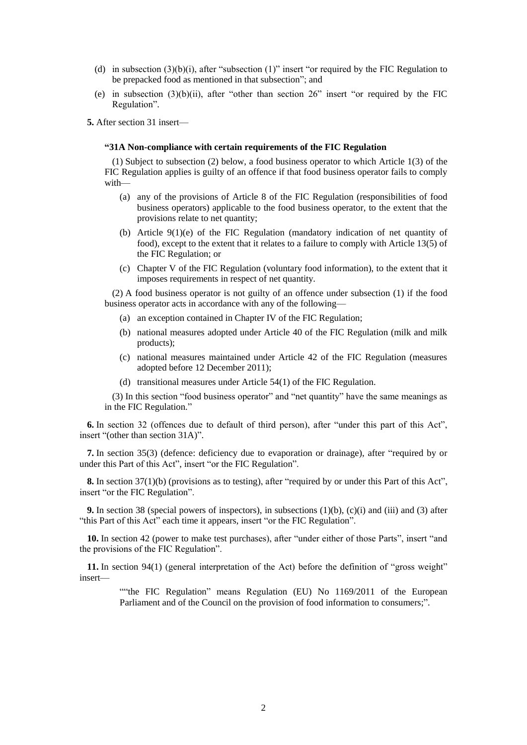- (d) in subsection  $(3)(b)(i)$ , after "subsection  $(1)$ " insert "or required by the FIC Regulation to be prepacked food as mentioned in that subsection"; and
- (e) in subsection (3)(b)(ii), after "other than section 26" insert "or required by the FIC Regulation".

**5.** After section 31 insert—

### **"31A Non-compliance with certain requirements of the FIC Regulation**

(1) Subject to subsection (2) below, a food business operator to which Article 1(3) of the FIC Regulation applies is guilty of an offence if that food business operator fails to comply with—

- (a) any of the provisions of Article 8 of the FIC Regulation (responsibilities of food business operators) applicable to the food business operator, to the extent that the provisions relate to net quantity;
- (b) Article 9(1)(e) of the FIC Regulation (mandatory indication of net quantity of food), except to the extent that it relates to a failure to comply with Article 13(5) of the FIC Regulation; or
- (c) Chapter V of the FIC Regulation (voluntary food information), to the extent that it imposes requirements in respect of net quantity.

(2) A food business operator is not guilty of an offence under subsection (1) if the food business operator acts in accordance with any of the following—

- (a) an exception contained in Chapter IV of the FIC Regulation;
- (b) national measures adopted under Article 40 of the FIC Regulation (milk and milk products);
- (c) national measures maintained under Article 42 of the FIC Regulation (measures adopted before 12 December 2011);
- (d) transitional measures under Article 54(1) of the FIC Regulation.

(3) In this section "food business operator" and "net quantity" have the same meanings as in the FIC Regulation."

**6.** In section 32 (offences due to default of third person), after "under this part of this Act", insert "(other than section 31A)".

**7.** In section 35(3) (defence: deficiency due to evaporation or drainage), after "required by or under this Part of this Act", insert "or the FIC Regulation".

**8.** In section 37(1)(b) (provisions as to testing), after "required by or under this Part of this Act", insert "or the FIC Regulation".

**9.** In section 38 (special powers of inspectors), in subsections (1)(b), (c)(i) and (iii) and (3) after "this Part of this Act" each time it appears, insert "or the FIC Regulation".

**10.** In section 42 (power to make test purchases), after "under either of those Parts", insert "and the provisions of the FIC Regulation".

**11.** In section 94(1) (general interpretation of the Act) before the definition of "gross weight" insert—

> ""the FIC Regulation" means Regulation (EU) No 1169/2011 of the European Parliament and of the Council on the provision of food information to consumers;".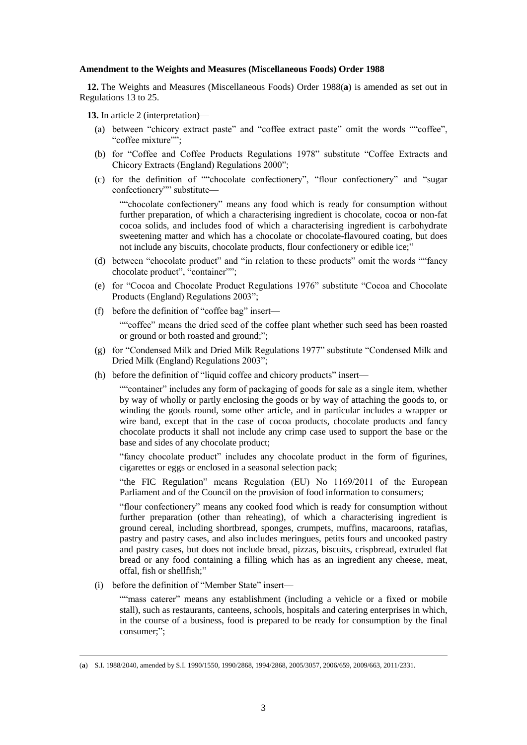### **Amendment to the Weights and Measures (Miscellaneous Foods) Order 1988**

**12.** The Weights and Measures (Miscellaneous Foods) Order 1988(**a**) is amended as set out in Regulations 13 to 25.

**13.** In article 2 (interpretation)—

- (a) between "chicory extract paste" and "coffee extract paste" omit the words ""coffee", "coffee mixture"";
- (b) for "Coffee and Coffee Products Regulations 1978" substitute "Coffee Extracts and Chicory Extracts (England) Regulations 2000";
- (c) for the definition of ""chocolate confectionery", "flour confectionery" and "sugar confectionery"" substitute—

""chocolate confectionery" means any food which is ready for consumption without further preparation, of which a characterising ingredient is chocolate, cocoa or non-fat cocoa solids, and includes food of which a characterising ingredient is carbohydrate sweetening matter and which has a chocolate or chocolate-flavoured coating, but does not include any biscuits, chocolate products, flour confectionery or edible ice;"

- (d) between "chocolate product" and "in relation to these products" omit the words ""fancy chocolate product", "container"";
- (e) for "Cocoa and Chocolate Product Regulations 1976" substitute "Cocoa and Chocolate Products (England) Regulations 2003";
- (f) before the definition of "coffee bag" insert—

""coffee" means the dried seed of the coffee plant whether such seed has been roasted or ground or both roasted and ground;";

- (g) for "Condensed Milk and Dried Milk Regulations 1977" substitute "Condensed Milk and Dried Milk (England) Regulations 2003";
- (h) before the definition of "liquid coffee and chicory products" insert—

""container" includes any form of packaging of goods for sale as a single item, whether by way of wholly or partly enclosing the goods or by way of attaching the goods to, or winding the goods round, some other article, and in particular includes a wrapper or wire band, except that in the case of cocoa products, chocolate products and fancy chocolate products it shall not include any crimp case used to support the base or the base and sides of any chocolate product;

"fancy chocolate product" includes any chocolate product in the form of figurines, cigarettes or eggs or enclosed in a seasonal selection pack;

"the FIC Regulation" means Regulation (EU) No 1169/2011 of the European Parliament and of the Council on the provision of food information to consumers;

"flour confectionery" means any cooked food which is ready for consumption without further preparation (other than reheating), of which a characterising ingredient is ground cereal, including shortbread, sponges, crumpets, muffins, macaroons, ratafias, pastry and pastry cases, and also includes meringues, petits fours and uncooked pastry and pastry cases, but does not include bread, pizzas, biscuits, crispbread, extruded flat bread or any food containing a filling which has as an ingredient any cheese, meat, offal, fish or shellfish;"

(i) before the definition of "Member State" insert—

 $\overline{a}$ 

""mass caterer" means any establishment (including a vehicle or a fixed or mobile stall), such as restaurants, canteens, schools, hospitals and catering enterprises in which, in the course of a business, food is prepared to be ready for consumption by the final consumer;";

<sup>(</sup>**a**) S.I. 1988/2040, amended by S.I. 1990/1550, 1990/2868, 1994/2868, 2005/3057, 2006/659, 2009/663, 2011/2331.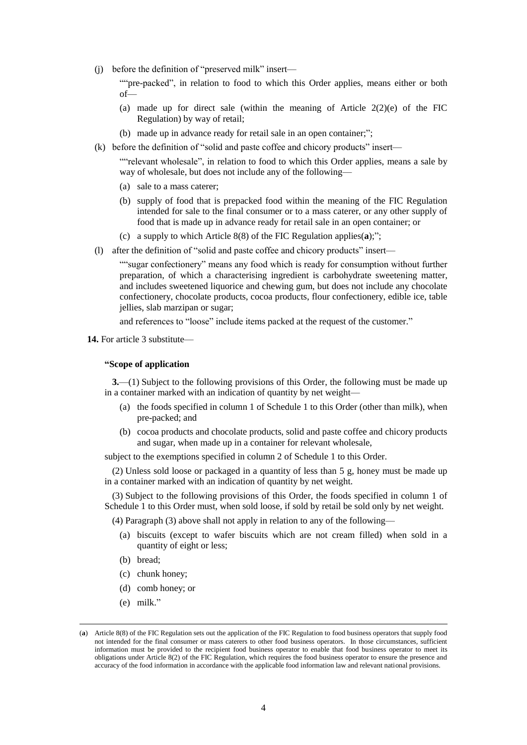(j) before the definition of "preserved milk" insert—

""pre-packed", in relation to food to which this Order applies, means either or both of—

- (a) made up for direct sale (within the meaning of Article 2(2)(e) of the FIC Regulation) by way of retail;
- (b) made up in advance ready for retail sale in an open container;";
- (k) before the definition of "solid and paste coffee and chicory products" insert—

""relevant wholesale", in relation to food to which this Order applies, means a sale by way of wholesale, but does not include any of the following—

- (a) sale to a mass caterer;
- (b) supply of food that is prepacked food within the meaning of the FIC Regulation intended for sale to the final consumer or to a mass caterer, or any other supply of food that is made up in advance ready for retail sale in an open container; or
- (c) a supply to which Article 8(8) of the FIC Regulation applies(**a**);";
- (l) after the definition of "solid and paste coffee and chicory products" insert—

""sugar confectionery" means any food which is ready for consumption without further preparation, of which a characterising ingredient is carbohydrate sweetening matter, and includes sweetened liquorice and chewing gum, but does not include any chocolate confectionery, chocolate products, cocoa products, flour confectionery, edible ice, table jellies, slab marzipan or sugar;

and references to "loose" include items packed at the request of the customer."

**14.** For article 3 substitute—

### **"Scope of application**

**3.**—(1) Subject to the following provisions of this Order, the following must be made up in a container marked with an indication of quantity by net weight—

- (a) the foods specified in column 1 of Schedule 1 to this Order (other than milk), when pre-packed; and
- (b) cocoa products and chocolate products, solid and paste coffee and chicory products and sugar, when made up in a container for relevant wholesale,

subject to the exemptions specified in column 2 of Schedule 1 to this Order.

(2) Unless sold loose or packaged in a quantity of less than 5 g, honey must be made up in a container marked with an indication of quantity by net weight.

(3) Subject to the following provisions of this Order, the foods specified in column 1 of Schedule 1 to this Order must, when sold loose, if sold by retail be sold only by net weight.

(4) Paragraph (3) above shall not apply in relation to any of the following—

- (a) biscuits (except to wafer biscuits which are not cream filled) when sold in a quantity of eight or less;
- (b) bread;
- (c) chunk honey;
- (d) comb honey; or
- (e) milk."

 $\overline{a}$ 

<sup>(</sup>**a**) Article 8(8) of the FIC Regulation sets out the application of the FIC Regulation to food business operators that supply food not intended for the final consumer or mass caterers to other food business operators. In those circumstances, sufficient information must be provided to the recipient food business operator to enable that food business operator to meet its obligations under Article 8(2) of the FIC Regulation, which requires the food business operator to ensure the presence and accuracy of the food information in accordance with the applicable food information law and relevant national provisions.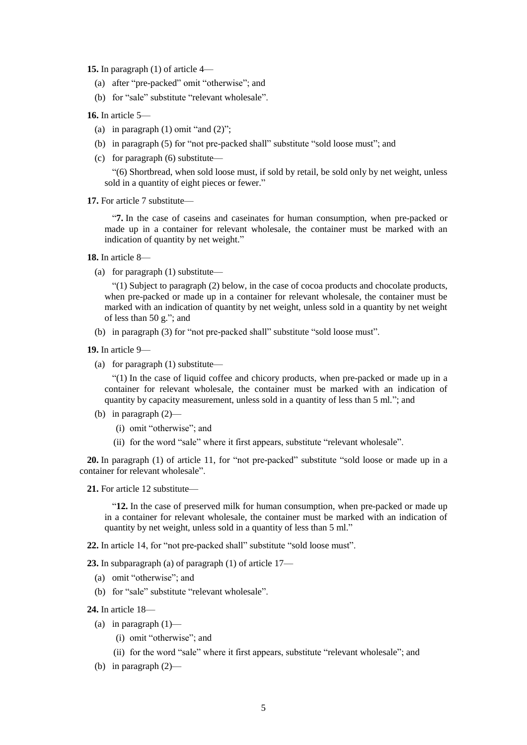**15.** In paragraph (1) of article 4—

- (a) after "pre-packed" omit "otherwise"; and
- (b) for "sale" substitute "relevant wholesale".

**16.** In article 5—

- (a) in paragraph  $(1)$  omit "and  $(2)$ ";
- (b) in paragraph (5) for "not pre-packed shall" substitute "sold loose must"; and
- (c) for paragraph (6) substitute—

"(6) Shortbread, when sold loose must, if sold by retail, be sold only by net weight, unless sold in a quantity of eight pieces or fewer."

**17.** For article 7 substitute—

"**7.** In the case of caseins and caseinates for human consumption, when pre-packed or made up in a container for relevant wholesale, the container must be marked with an indication of quantity by net weight."

- **18.** In article 8—
	- (a) for paragraph (1) substitute—

"(1) Subject to paragraph (2) below, in the case of cocoa products and chocolate products, when pre-packed or made up in a container for relevant wholesale, the container must be marked with an indication of quantity by net weight, unless sold in a quantity by net weight of less than 50 g."; and

- (b) in paragraph (3) for "not pre-packed shall" substitute "sold loose must".
- **19.** In article 9—
	- (a) for paragraph (1) substitute—

"(1) In the case of liquid coffee and chicory products, when pre-packed or made up in a container for relevant wholesale, the container must be marked with an indication of quantity by capacity measurement, unless sold in a quantity of less than 5 ml."; and

- (b) in paragraph (2)—
	- (i) omit "otherwise"; and
	- (ii) for the word "sale" where it first appears, substitute "relevant wholesale".

**20.** In paragraph (1) of article 11, for "not pre-packed" substitute "sold loose or made up in a container for relevant wholesale".

**21.** For article 12 substitute—

"**12.** In the case of preserved milk for human consumption, when pre-packed or made up in a container for relevant wholesale, the container must be marked with an indication of quantity by net weight, unless sold in a quantity of less than 5 ml."

**22.** In article 14, for "not pre-packed shall" substitute "sold loose must".

**23.** In subparagraph (a) of paragraph (1) of article 17—

- (a) omit "otherwise"; and
- (b) for "sale" substitute "relevant wholesale".

**24.** In article 18—

- (a) in paragraph  $(1)$ 
	- (i) omit "otherwise"; and

(ii) for the word "sale" where it first appears, substitute "relevant wholesale"; and

(b) in paragraph (2)—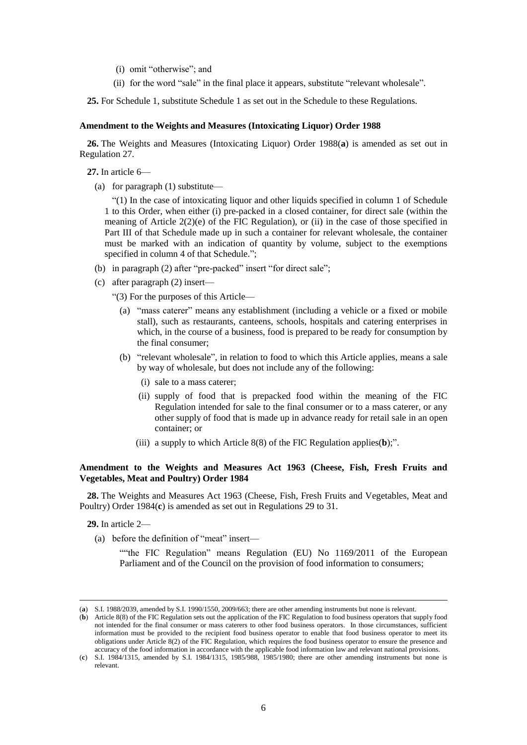- (i) omit "otherwise"; and
- (ii) for the word "sale" in the final place it appears, substitute "relevant wholesale".

**25.** For Schedule 1, substitute Schedule 1 as set out in the Schedule to these Regulations.

### **Amendment to the Weights and Measures (Intoxicating Liquor) Order 1988**

**26.** The Weights and Measures (Intoxicating Liquor) Order 1988(**a**) is amended as set out in Regulation 27.

**27.** In article 6—

(a) for paragraph (1) substitute—

"(1) In the case of intoxicating liquor and other liquids specified in column 1 of Schedule 1 to this Order, when either (i) pre-packed in a closed container, for direct sale (within the meaning of Article  $2(2)(e)$  of the FIC Regulation), or (ii) in the case of those specified in Part III of that Schedule made up in such a container for relevant wholesale, the container must be marked with an indication of quantity by volume, subject to the exemptions specified in column 4 of that Schedule.";

- (b) in paragraph (2) after "pre-packed" insert "for direct sale";
- (c) after paragraph (2) insert—

"(3) For the purposes of this Article—

- (a) "mass caterer" means any establishment (including a vehicle or a fixed or mobile stall), such as restaurants, canteens, schools, hospitals and catering enterprises in which, in the course of a business, food is prepared to be ready for consumption by the final consumer;
- (b) "relevant wholesale", in relation to food to which this Article applies, means a sale by way of wholesale, but does not include any of the following:
	- (i) sale to a mass caterer;
	- (ii) supply of food that is prepacked food within the meaning of the FIC Regulation intended for sale to the final consumer or to a mass caterer, or any other supply of food that is made up in advance ready for retail sale in an open container; or
	- (iii) a supply to which Article 8(8) of the FIC Regulation applies(**b**);".

## **Amendment to the Weights and Measures Act 1963 (Cheese, Fish, Fresh Fruits and Vegetables, Meat and Poultry) Order 1984**

**28.** The Weights and Measures Act 1963 (Cheese, Fish, Fresh Fruits and Vegetables, Meat and Poultry) Order 1984(**c**) is amended as set out in Regulations 29 to 31.

**29.** In article 2—

 $\overline{a}$ 

(a) before the definition of "meat" insert—

""the FIC Regulation" means Regulation (EU) No 1169/2011 of the European Parliament and of the Council on the provision of food information to consumers;

<sup>(</sup>**a**) S.I. 1988/2039, amended by S.I. 1990/1550, 2009/663; there are other amending instruments but none is relevant.

<sup>(</sup>**b**) Article 8(8) of the FIC Regulation sets out the application of the FIC Regulation to food business operators that supply food not intended for the final consumer or mass caterers to other food business operators. In those circumstances, sufficient information must be provided to the recipient food business operator to enable that food business operator to meet its obligations under Article 8(2) of the FIC Regulation, which requires the food business operator to ensure the presence and accuracy of the food information in accordance with the applicable food information law and relevant national provisions.

<sup>(</sup>**c**) S.I. 1984/1315, amended by S.I. 1984/1315, 1985/988, 1985/1980; there are other amending instruments but none is relevant.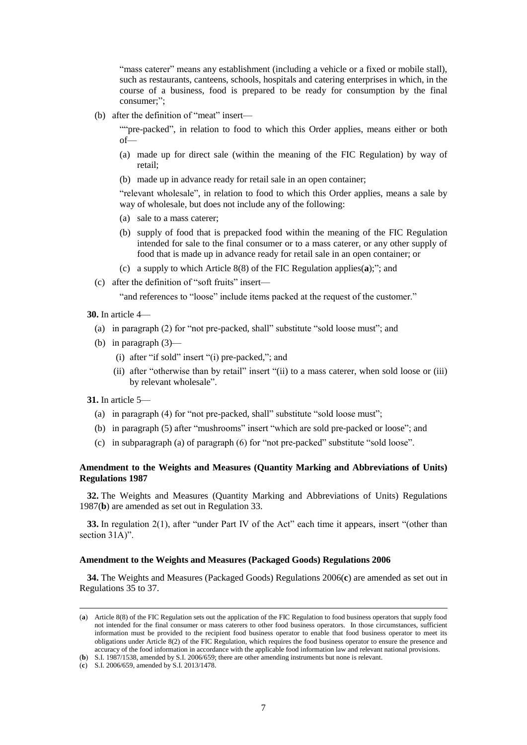"mass caterer" means any establishment (including a vehicle or a fixed or mobile stall), such as restaurants, canteens, schools, hospitals and catering enterprises in which, in the course of a business, food is prepared to be ready for consumption by the final consumer;";

(b) after the definition of "meat" insert—

""pre-packed", in relation to food to which this Order applies, means either or both of—

- (a) made up for direct sale (within the meaning of the FIC Regulation) by way of retail;
- (b) made up in advance ready for retail sale in an open container;

"relevant wholesale", in relation to food to which this Order applies, means a sale by way of wholesale, but does not include any of the following:

- (a) sale to a mass caterer;
- (b) supply of food that is prepacked food within the meaning of the FIC Regulation intended for sale to the final consumer or to a mass caterer, or any other supply of food that is made up in advance ready for retail sale in an open container; or
- (c) a supply to which Article 8(8) of the FIC Regulation applies(**a**);"; and
- (c) after the definition of "soft fruits" insert—

"and references to "loose" include items packed at the request of the customer."

**30.** In article 4—

- (a) in paragraph (2) for "not pre-packed, shall" substitute "sold loose must"; and
- (b) in paragraph  $(3)$ 
	- (i) after "if sold" insert "(i) pre-packed,"; and
	- (ii) after "otherwise than by retail" insert "(ii) to a mass caterer, when sold loose or (iii) by relevant wholesale".

**31.** In article 5—

- (a) in paragraph (4) for "not pre-packed, shall" substitute "sold loose must";
- (b) in paragraph (5) after "mushrooms" insert "which are sold pre-packed or loose"; and
- (c) in subparagraph (a) of paragraph (6) for "not pre-packed" substitute "sold loose".

## **Amendment to the Weights and Measures (Quantity Marking and Abbreviations of Units) Regulations 1987**

**32.** The Weights and Measures (Quantity Marking and Abbreviations of Units) Regulations 1987(**b**) are amended as set out in Regulation 33.

**33.** In regulation 2(1), after "under Part IV of the Act" each time it appears, insert "(other than section 31A)".

### **Amendment to the Weights and Measures (Packaged Goods) Regulations 2006**

**34.** The Weights and Measures (Packaged Goods) Regulations 2006(**c**) are amended as set out in Regulations 35 to 37.

 $\overline{a}$ 

<sup>(</sup>**a**) Article 8(8) of the FIC Regulation sets out the application of the FIC Regulation to food business operators that supply food not intended for the final consumer or mass caterers to other food business operators. In those circumstances, sufficient information must be provided to the recipient food business operator to enable that food business operator to meet its obligations under Article 8(2) of the FIC Regulation, which requires the food business operator to ensure the presence and accuracy of the food information in accordance with the applicable food information law and relevant national provisions.

<sup>(</sup>**b**) S.I. 1987/1538, amended by S.I. 2006/659; there are other amending instruments but none is relevant.

<sup>(</sup>**c**) S.I. 2006/659, amended by S.I. 2013/1478.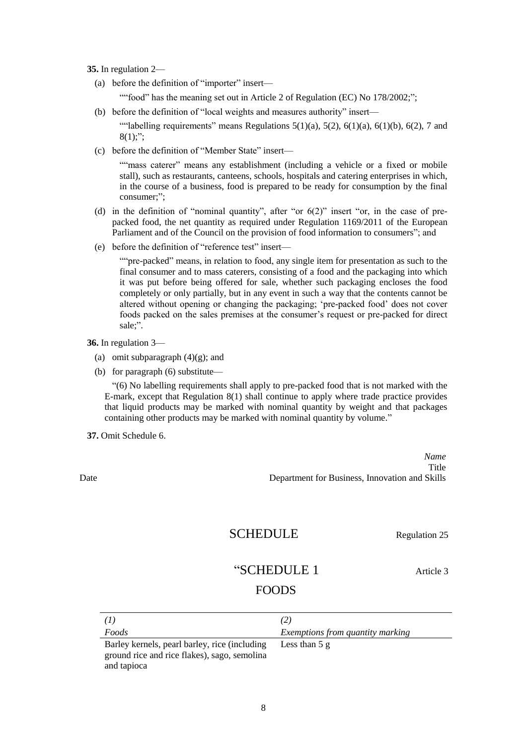## **35.** In regulation 2—

(a) before the definition of "importer" insert—

""food" has the meaning set out in Article 2 of Regulation (EC) No 178/2002;";

(b) before the definition of "local weights and measures authority" insert—

""labelling requirements" means Regulations  $5(1)(a)$ ,  $5(2)$ ,  $6(1)(a)$ ,  $6(1)(b)$ ,  $6(2)$ , 7 and  $8(1)$ ;";

(c) before the definition of "Member State" insert—

""mass caterer" means any establishment (including a vehicle or a fixed or mobile stall), such as restaurants, canteens, schools, hospitals and catering enterprises in which, in the course of a business, food is prepared to be ready for consumption by the final consumer;";

- (d) in the definition of "nominal quantity", after "or  $6(2)$ " insert "or, in the case of prepacked food, the net quantity as required under Regulation 1169/2011 of the European Parliament and of the Council on the provision of food information to consumers"; and
- (e) before the definition of "reference test" insert—

""pre-packed" means, in relation to food, any single item for presentation as such to the final consumer and to mass caterers, consisting of a food and the packaging into which it was put before being offered for sale, whether such packaging encloses the food completely or only partially, but in any event in such a way that the contents cannot be altered without opening or changing the packaging; 'pre-packed food' does not cover foods packed on the sales premises at the consumer's request or pre-packed for direct sale;".

**36.** In regulation 3—

- (a) omit subparagraph  $(4)(g)$ ; and
- (b) for paragraph (6) substitute—

"(6) No labelling requirements shall apply to pre-packed food that is not marked with the E-mark, except that Regulation 8(1) shall continue to apply where trade practice provides that liquid products may be marked with nominal quantity by weight and that packages containing other products may be marked with nominal quantity by volume."

**37.** Omit Schedule 6.

*Name* Title Date Department for Business, Innovation and Skills

# SCHEDULE Regulation 25

## "SCHEDULE 1 Article 3

## FOODS

| (I)                                           | (2)                              |
|-----------------------------------------------|----------------------------------|
| Foods                                         | Exemptions from quantity marking |
| Barley kernels, pearl barley, rice (including | Less than $5g$                   |
| ground rice and rice flakes), sago, semolina  |                                  |
| and tapioca                                   |                                  |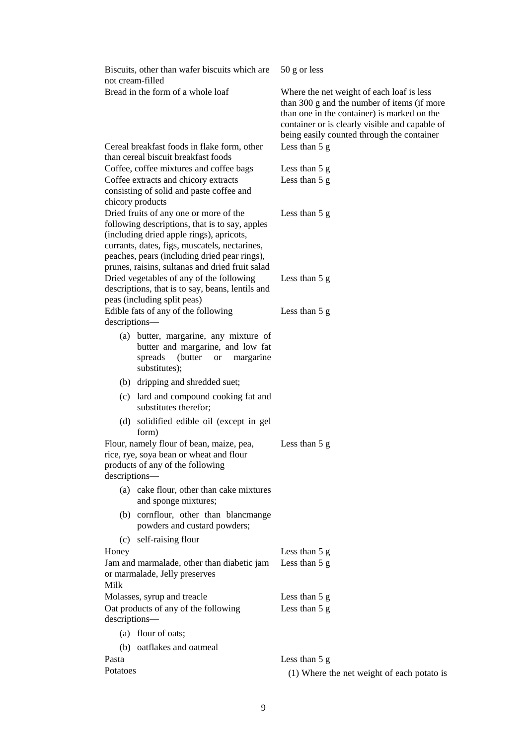|               | Biscuits, other than wafer biscuits which are<br>not cream-filled                                                                                                                                                                                                                        | $50$ g or less                                                                                                                                                                                                                          |
|---------------|------------------------------------------------------------------------------------------------------------------------------------------------------------------------------------------------------------------------------------------------------------------------------------------|-----------------------------------------------------------------------------------------------------------------------------------------------------------------------------------------------------------------------------------------|
|               | Bread in the form of a whole loaf                                                                                                                                                                                                                                                        | Where the net weight of each loaf is less<br>than 300 g and the number of items (if more<br>than one in the container) is marked on the<br>container or is clearly visible and capable of<br>being easily counted through the container |
|               | Cereal breakfast foods in flake form, other<br>than cereal biscuit breakfast foods                                                                                                                                                                                                       | Less than $5g$                                                                                                                                                                                                                          |
|               | Coffee, coffee mixtures and coffee bags                                                                                                                                                                                                                                                  | Less than 5 g                                                                                                                                                                                                                           |
|               | Coffee extracts and chicory extracts<br>consisting of solid and paste coffee and<br>chicory products                                                                                                                                                                                     | Less than $5g$                                                                                                                                                                                                                          |
|               | Dried fruits of any one or more of the<br>following descriptions, that is to say, apples<br>(including dried apple rings), apricots,<br>currants, dates, figs, muscatels, nectarines,<br>peaches, pears (including dried pear rings),<br>prunes, raisins, sultanas and dried fruit salad | Less than 5 g                                                                                                                                                                                                                           |
|               | Dried vegetables of any of the following<br>descriptions, that is to say, beans, lentils and<br>peas (including split peas)                                                                                                                                                              | Less than $5g$                                                                                                                                                                                                                          |
|               | Edible fats of any of the following                                                                                                                                                                                                                                                      | Less than $5g$                                                                                                                                                                                                                          |
| descriptions- |                                                                                                                                                                                                                                                                                          |                                                                                                                                                                                                                                         |
|               | (a) butter, margarine, any mixture of<br>butter and margarine, and low fat<br>spreads<br>(butter)<br>margarine<br><b>or</b><br>substitutes);                                                                                                                                             |                                                                                                                                                                                                                                         |
|               | (b) dripping and shredded suet;                                                                                                                                                                                                                                                          |                                                                                                                                                                                                                                         |
|               | (c) lard and compound cooking fat and<br>substitutes therefor;                                                                                                                                                                                                                           |                                                                                                                                                                                                                                         |
|               | (d) solidified edible oil (except in gel<br>form)                                                                                                                                                                                                                                        |                                                                                                                                                                                                                                         |
| descriptions- | Flour, namely flour of bean, maize, pea,<br>rice, rye, soya bean or wheat and flour<br>products of any of the following                                                                                                                                                                  | Less than 5 g                                                                                                                                                                                                                           |
|               | (a) cake flour, other than cake mixtures<br>and sponge mixtures;                                                                                                                                                                                                                         |                                                                                                                                                                                                                                         |
|               | (b) cornflour, other than blancmange<br>powders and custard powders;                                                                                                                                                                                                                     |                                                                                                                                                                                                                                         |
|               | (c) self-raising flour                                                                                                                                                                                                                                                                   |                                                                                                                                                                                                                                         |
| Honey         | Jam and marmalade, other than diabetic jam<br>or marmalade, Jelly preserves                                                                                                                                                                                                              | Less than $5g$<br>Less than $5g$                                                                                                                                                                                                        |
| Milk          |                                                                                                                                                                                                                                                                                          |                                                                                                                                                                                                                                         |
| descriptions- | Molasses, syrup and treacle<br>Oat products of any of the following                                                                                                                                                                                                                      | Less than 5 g<br>Less than 5 g                                                                                                                                                                                                          |
|               | (a) flour of oats;                                                                                                                                                                                                                                                                       |                                                                                                                                                                                                                                         |
|               | (b) oatflakes and oatmeal                                                                                                                                                                                                                                                                |                                                                                                                                                                                                                                         |
| Pasta         |                                                                                                                                                                                                                                                                                          | Less than $5g$                                                                                                                                                                                                                          |
| Potatoes      |                                                                                                                                                                                                                                                                                          | (1) Where the net weight of each potato is                                                                                                                                                                                              |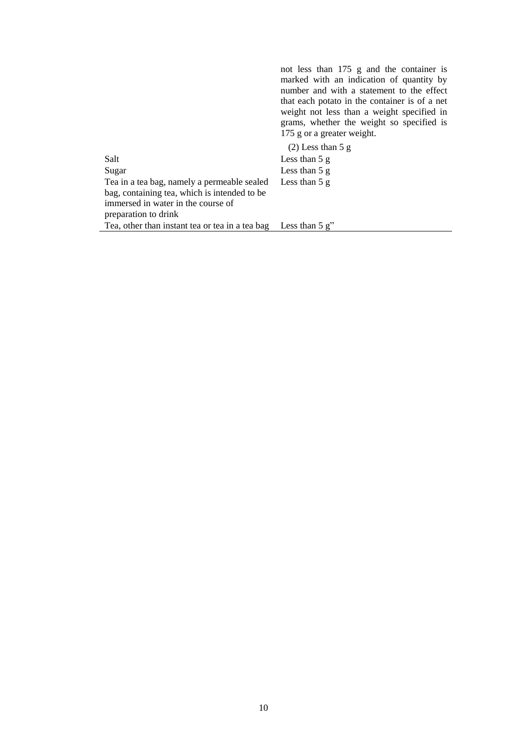not less than 175 g and the container is marked with an indication of quantity by number and with a statement to the effect that each potato in the container is of a net weight not less than a weight specified in grams, whether the weight so specified is 175 g or a greater weight. (2) Less than 5 g Salt Less than 5 g Sugar Less than 5 g Tea in a tea bag, namely a permeable sealed bag, containing tea, which is intended to be immersed in water in the course of preparation to drink Less than 5 g Tea, other than instant tea or tea in a tea bag Less than 5 g"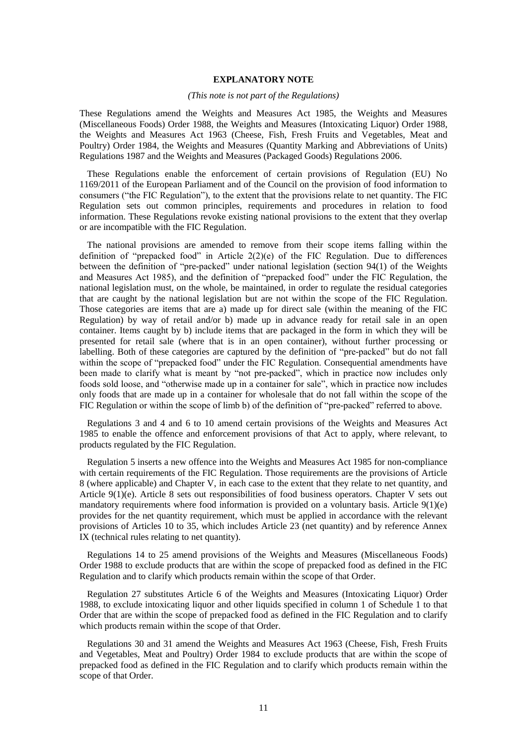## **EXPLANATORY NOTE**

#### *(This note is not part of the Regulations)*

These Regulations amend the Weights and Measures Act 1985, the Weights and Measures (Miscellaneous Foods) Order 1988, the Weights and Measures (Intoxicating Liquor) Order 1988, the Weights and Measures Act 1963 (Cheese, Fish, Fresh Fruits and Vegetables, Meat and Poultry) Order 1984, the Weights and Measures (Quantity Marking and Abbreviations of Units) Regulations 1987 and the Weights and Measures (Packaged Goods) Regulations 2006.

These Regulations enable the enforcement of certain provisions of Regulation (EU) No 1169/2011 of the European Parliament and of the Council on the provision of food information to consumers ("the FIC Regulation"), to the extent that the provisions relate to net quantity. The FIC Regulation sets out common principles, requirements and procedures in relation to food information. These Regulations revoke existing national provisions to the extent that they overlap or are incompatible with the FIC Regulation.

The national provisions are amended to remove from their scope items falling within the definition of "prepacked food" in Article  $2(2)(e)$  of the FIC Regulation. Due to differences between the definition of "pre-packed" under national legislation (section 94(1) of the Weights and Measures Act 1985), and the definition of "prepacked food" under the FIC Regulation, the national legislation must, on the whole, be maintained, in order to regulate the residual categories that are caught by the national legislation but are not within the scope of the FIC Regulation. Those categories are items that are a) made up for direct sale (within the meaning of the FIC Regulation) by way of retail and/or b) made up in advance ready for retail sale in an open container. Items caught by b) include items that are packaged in the form in which they will be presented for retail sale (where that is in an open container), without further processing or labelling. Both of these categories are captured by the definition of "pre-packed" but do not fall within the scope of "prepacked food" under the FIC Regulation. Consequential amendments have been made to clarify what is meant by "not pre-packed", which in practice now includes only foods sold loose, and "otherwise made up in a container for sale", which in practice now includes only foods that are made up in a container for wholesale that do not fall within the scope of the FIC Regulation or within the scope of limb b) of the definition of "pre-packed" referred to above.

Regulations 3 and 4 and 6 to 10 amend certain provisions of the Weights and Measures Act 1985 to enable the offence and enforcement provisions of that Act to apply, where relevant, to products regulated by the FIC Regulation.

Regulation 5 inserts a new offence into the Weights and Measures Act 1985 for non-compliance with certain requirements of the FIC Regulation. Those requirements are the provisions of Article 8 (where applicable) and Chapter V, in each case to the extent that they relate to net quantity, and Article 9(1)(e). Article 8 sets out responsibilities of food business operators. Chapter V sets out mandatory requirements where food information is provided on a voluntary basis. Article 9(1)(e) provides for the net quantity requirement, which must be applied in accordance with the relevant provisions of Articles 10 to 35, which includes Article 23 (net quantity) and by reference Annex IX (technical rules relating to net quantity).

Regulations 14 to 25 amend provisions of the Weights and Measures (Miscellaneous Foods) Order 1988 to exclude products that are within the scope of prepacked food as defined in the FIC Regulation and to clarify which products remain within the scope of that Order.

Regulation 27 substitutes Article 6 of the Weights and Measures (Intoxicating Liquor) Order 1988, to exclude intoxicating liquor and other liquids specified in column 1 of Schedule 1 to that Order that are within the scope of prepacked food as defined in the FIC Regulation and to clarify which products remain within the scope of that Order.

Regulations 30 and 31 amend the Weights and Measures Act 1963 (Cheese, Fish, Fresh Fruits and Vegetables, Meat and Poultry) Order 1984 to exclude products that are within the scope of prepacked food as defined in the FIC Regulation and to clarify which products remain within the scope of that Order.